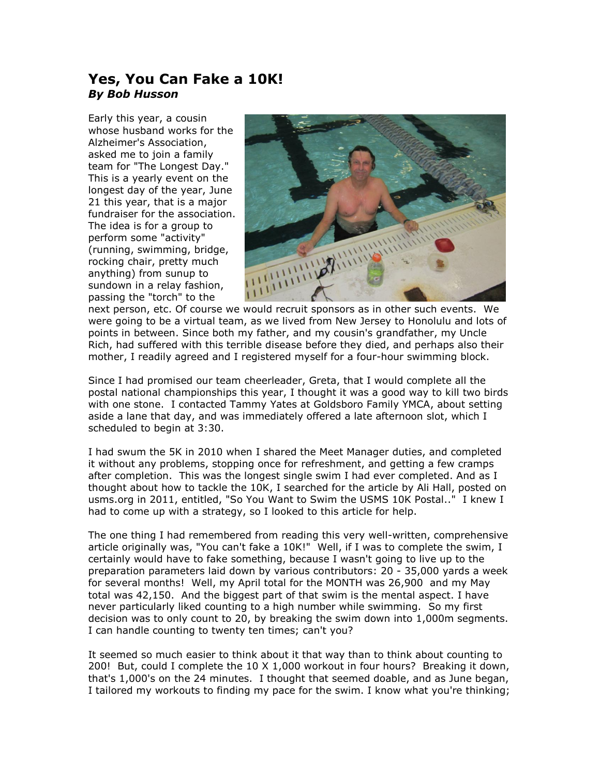## **Yes, You Can Fake a 10K!** *By Bob Husson*

Early this year, a cousin whose husband works for the Alzheimer's Association, asked me to join a family team for "The Longest Day." This is a yearly event on the longest day of the year, June 21 this year, that is a major fundraiser for the association. The idea is for a group to perform some "activity" (running, swimming, bridge, rocking chair, pretty much anything) from sunup to sundown in a relay fashion, passing the "torch" to the



next person, etc. Of course we would recruit sponsors as in other such events. We were going to be a virtual team, as we lived from New Jersey to Honolulu and lots of points in between. Since both my father, and my cousin's grandfather, my Uncle Rich, had suffered with this terrible disease before they died, and perhaps also their mother, I readily agreed and I registered myself for a four-hour swimming block.

Since I had promised our team cheerleader, Greta, that I would complete all the postal national championships this year, I thought it was a good way to kill two birds with one stone. I contacted Tammy Yates at Goldsboro Family YMCA, about setting aside a lane that day, and was immediately offered a late afternoon slot, which I scheduled to begin at 3:30.

I had swum the 5K in 2010 when I shared the Meet Manager duties, and completed it without any problems, stopping once for refreshment, and getting a few cramps after completion. This was the longest single swim I had ever completed. And as I thought about how to tackle the 10K, I searched for the article by Ali Hall, posted on usms.org in 2011, entitled, "So You Want to Swim the USMS 10K Postal.." I knew I had to come up with a strategy, so I looked to this article for help.

The one thing I had remembered from reading this very well-written, comprehensive article originally was, "You can't fake a 10K!" Well, if I was to complete the swim, I certainly would have to fake something, because I wasn't going to live up to the preparation parameters laid down by various contributors: 20 - 35,000 yards a week for several months! Well, my April total for the MONTH was 26,900 and my May total was 42,150. And the biggest part of that swim is the mental aspect. I have never particularly liked counting to a high number while swimming. So my first decision was to only count to 20, by breaking the swim down into 1,000m segments. I can handle counting to twenty ten times; can't you?

It seemed so much easier to think about it that way than to think about counting to 200! But, could I complete the 10 X 1,000 workout in four hours? Breaking it down, that's 1,000's on the 24 minutes. I thought that seemed doable, and as June began, I tailored my workouts to finding my pace for the swim. I know what you're thinking;